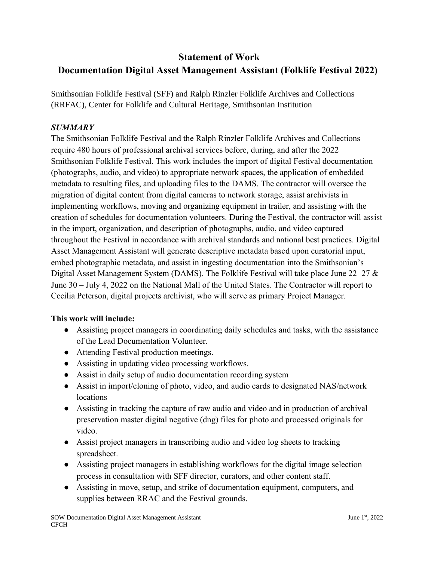## **Statement of Work**

# **Documentation Digital Asset Management Assistant (Folklife Festival 2022)**

Smithsonian Folklife Festival (SFF) and Ralph Rinzler Folklife Archives and Collections (RRFAC), Center for Folklife and Cultural Heritage, Smithsonian Institution

#### *SUMMARY*

The Smithsonian Folklife Festival and the Ralph Rinzler Folklife Archives and Collections require 480 hours of professional archival services before, during, and after the 2022 Smithsonian Folklife Festival. This work includes the import of digital Festival documentation (photographs, audio, and video) to appropriate network spaces, the application of embedded metadata to resulting files, and uploading files to the DAMS. The contractor will oversee the migration of digital content from digital cameras to network storage, assist archivists in implementing workflows, moving and organizing equipment in trailer, and assisting with the creation of schedules for documentation volunteers. During the Festival, the contractor will assist in the import, organization, and description of photographs, audio, and video captured throughout the Festival in accordance with archival standards and national best practices. Digital Asset Management Assistant will generate descriptive metadata based upon curatorial input, embed photographic metadata, and assist in ingesting documentation into the Smithsonian's Digital Asset Management System (DAMS). The Folklife Festival will take place June 22–27 & June 30 – July 4, 2022 on the National Mall of the United States. The Contractor will report to Cecilia Peterson, digital projects archivist, who will serve as primary Project Manager.

#### **This work will include:**

- Assisting project managers in coordinating daily schedules and tasks, with the assistance of the Lead Documentation Volunteer.
- Attending Festival production meetings.
- Assisting in updating video processing workflows.
- Assist in daily setup of audio documentation recording system
- Assist in import/cloning of photo, video, and audio cards to designated NAS/network locations
- Assisting in tracking the capture of raw audio and video and in production of archival preservation master digital negative (dng) files for photo and processed originals for video.
- Assist project managers in transcribing audio and video log sheets to tracking spreadsheet.
- Assisting project managers in establishing workflows for the digital image selection process in consultation with SFF director, curators, and other content staff.
- Assisting in move, setup, and strike of documentation equipment, computers, and supplies between RRAC and the Festival grounds.